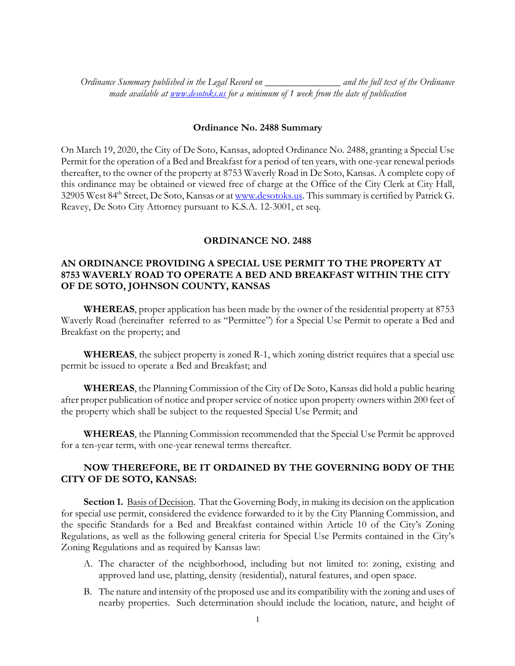*Ordinance Summary published in the Legal Record on \_\_\_\_\_\_\_\_\_\_\_\_\_\_\_ and the full text of the Ordinance made available at www.desotoks.us for a minimum of 1 week from the date of publication*

## **Ordinance No. 2488 Summary**

On March 19, 2020, the City of De Soto, Kansas, adopted Ordinance No. 2488, granting a Special Use Permit for the operation of a Bed and Breakfast for a period of ten years, with one-year renewal periods thereafter, to the owner of the property at 8753 Waverly Road in De Soto, Kansas. A complete copy of this ordinance may be obtained or viewed free of charge at the Office of the City Clerk at City Hall, 32905 West 84<sup>th</sup> Street, De Soto, Kansas or at www.desotoks.us. This summary is certified by Patrick G. Reavey, De Soto City Attorney pursuant to K.S.A. 12-3001, et seq.

## **ORDINANCE NO. 2488**

## **AN ORDINANCE PROVIDING A SPECIAL USE PERMIT TO THE PROPERTY AT 8753 WAVERLY ROAD TO OPERATE A BED AND BREAKFAST WITHIN THE CITY OF DE SOTO, JOHNSON COUNTY, KANSAS**

**WHEREAS**, proper application has been made by the owner of the residential property at 8753 Waverly Road (hereinafter referred to as "Permittee") for a Special Use Permit to operate a Bed and Breakfast on the property; and

**WHEREAS**, the subject property is zoned R-1, which zoning district requires that a special use permit be issued to operate a Bed and Breakfast; and

**WHEREAS**, the Planning Commission of the City of De Soto, Kansas did hold a public hearing after proper publication of notice and proper service of notice upon property owners within 200 feet of the property which shall be subject to the requested Special Use Permit; and

**WHEREAS**, the Planning Commission recommended that the Special Use Permit be approved for a ten-year term, with one-year renewal terms thereafter.

## **NOW THEREFORE, BE IT ORDAINED BY THE GOVERNING BODY OF THE CITY OF DE SOTO, KANSAS:**

**Section 1.** Basis of Decision. That the Governing Body, in making its decision on the application for special use permit, considered the evidence forwarded to it by the City Planning Commission, and the specific Standards for a Bed and Breakfast contained within Article 10 of the City's Zoning Regulations, as well as the following general criteria for Special Use Permits contained in the City's Zoning Regulations and as required by Kansas law:

- A. The character of the neighborhood, including but not limited to: zoning, existing and approved land use, platting, density (residential), natural features, and open space.
- B. The nature and intensity of the proposed use and its compatibility with the zoning and uses of nearby properties. Such determination should include the location, nature, and height of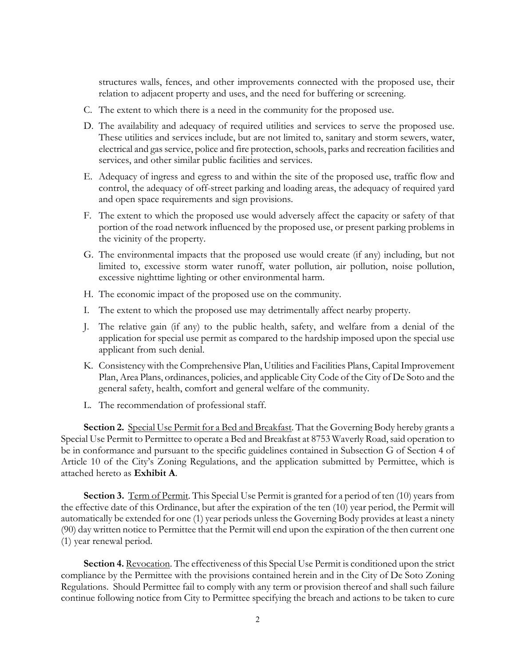structures walls, fences, and other improvements connected with the proposed use, their relation to adjacent property and uses, and the need for buffering or screening.

- C. The extent to which there is a need in the community for the proposed use.
- D. The availability and adequacy of required utilities and services to serve the proposed use. These utilities and services include, but are not limited to, sanitary and storm sewers, water, electrical and gas service, police and fire protection, schools, parks and recreation facilities and services, and other similar public facilities and services.
- E. Adequacy of ingress and egress to and within the site of the proposed use, traffic flow and control, the adequacy of off-street parking and loading areas, the adequacy of required yard and open space requirements and sign provisions.
- F. The extent to which the proposed use would adversely affect the capacity or safety of that portion of the road network influenced by the proposed use, or present parking problems in the vicinity of the property.
- G. The environmental impacts that the proposed use would create (if any) including, but not limited to, excessive storm water runoff, water pollution, air pollution, noise pollution, excessive nighttime lighting or other environmental harm.
- H. The economic impact of the proposed use on the community.
- I. The extent to which the proposed use may detrimentally affect nearby property.
- J. The relative gain (if any) to the public health, safety, and welfare from a denial of the application for special use permit as compared to the hardship imposed upon the special use applicant from such denial.
- K. Consistency with the Comprehensive Plan, Utilities and Facilities Plans, Capital Improvement Plan, Area Plans, ordinances, policies, and applicable City Code of the City of De Soto and the general safety, health, comfort and general welfare of the community.
- L. The recommendation of professional staff.

**Section 2.** Special Use Permit for a Bed and Breakfast. That the Governing Body hereby grants a Special Use Permit to Permittee to operate a Bed and Breakfast at 8753 Waverly Road, said operation to be in conformance and pursuant to the specific guidelines contained in Subsection G of Section 4 of Article 10 of the City's Zoning Regulations, and the application submitted by Permittee, which is attached hereto as **Exhibit A**.

**Section 3.** Term of Permit. This Special Use Permit is granted for a period of ten (10) years from the effective date of this Ordinance, but after the expiration of the ten (10) year period, the Permit will automatically be extended for one (1) year periods unless the Governing Body provides at least a ninety (90) day written notice to Permittee that the Permit will end upon the expiration of the then current one (1) year renewal period.

Section 4. Revocation. The effectiveness of this Special Use Permit is conditioned upon the strict compliance by the Permittee with the provisions contained herein and in the City of De Soto Zoning Regulations. Should Permittee fail to comply with any term or provision thereof and shall such failure continue following notice from City to Permittee specifying the breach and actions to be taken to cure